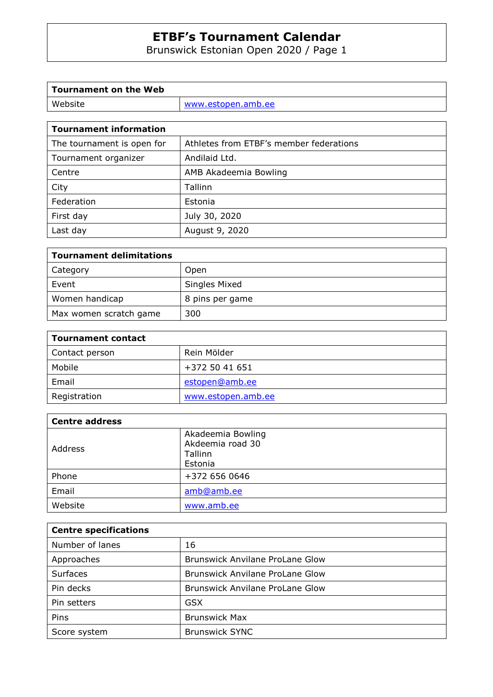Brunswick Estonian Open 2020 / Page 1

| Tournament on the Web |                    |
|-----------------------|--------------------|
| Website               | www.estopen.amb.ee |
|                       |                    |

| <b>Tournament information</b> |                                         |  |  |
|-------------------------------|-----------------------------------------|--|--|
| The tournament is open for    | Athletes from ETBF's member federations |  |  |
| Tournament organizer          | Andilaid Ltd.                           |  |  |
| Centre                        | AMB Akadeemia Bowling                   |  |  |
| City                          | Tallinn                                 |  |  |
| Federation                    | Estonia                                 |  |  |
| First day                     | July 30, 2020                           |  |  |
| Last day                      | August 9, 2020                          |  |  |

| <b>Tournament delimitations</b> |                 |  |
|---------------------------------|-----------------|--|
| Category                        | Open            |  |
| Event                           | Singles Mixed   |  |
| Women handicap                  | 8 pins per game |  |
| Max women scratch game          | 300             |  |

| <b>Tournament contact</b> |                    |  |
|---------------------------|--------------------|--|
| Contact person            | Rein Mölder        |  |
| Mobile                    | +372 50 41 651     |  |
| Email                     | estopen@amb.ee     |  |
| Registration              | www.estopen.amb.ee |  |

| <b>Centre address</b> |                                                             |
|-----------------------|-------------------------------------------------------------|
| Address               | Akadeemia Bowling<br>Akdeemia road 30<br>Tallinn<br>Estonia |
| Phone                 | +372 656 0646                                               |
| Email                 | amb@amb.ee                                                  |
| Website               | www.amb.ee                                                  |

| <b>Centre specifications</b> |                                        |  |
|------------------------------|----------------------------------------|--|
| Number of lanes              | 16                                     |  |
| Approaches                   | Brunswick Anvilane ProLane Glow        |  |
| Surfaces                     | Brunswick Anvilane ProLane Glow        |  |
| Pin decks                    | <b>Brunswick Anvilane ProLane Glow</b> |  |
| Pin setters                  | <b>GSX</b>                             |  |
| Pins                         | <b>Brunswick Max</b>                   |  |
| Score system                 | <b>Brunswick SYNC</b>                  |  |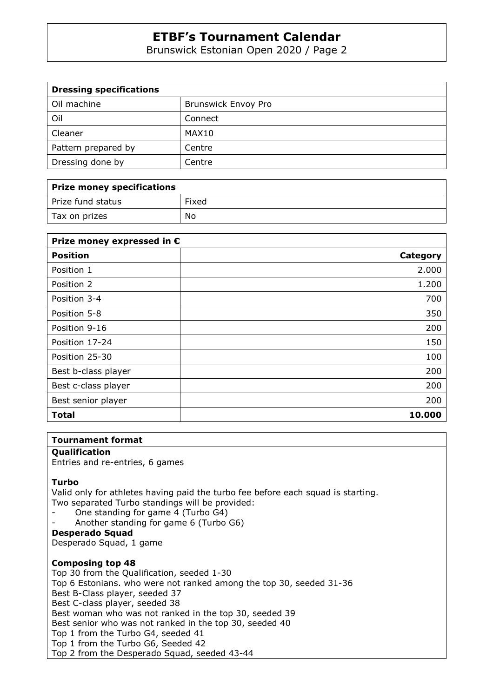Brunswick Estonian Open 2020 / Page 2

| <b>Dressing specifications</b> |                            |  |  |
|--------------------------------|----------------------------|--|--|
| Oil machine                    | <b>Brunswick Envoy Pro</b> |  |  |
| Oil                            | Connect                    |  |  |
| Cleaner                        | MAX10                      |  |  |
| Pattern prepared by            | Centre                     |  |  |
| Dressing done by               | Centre                     |  |  |

| Prize money specifications |       |  |  |
|----------------------------|-------|--|--|
| Prize fund status          | Fixed |  |  |
| Tax on prizes              | No    |  |  |

| Prize money expressed in € |          |  |  |
|----------------------------|----------|--|--|
| <b>Position</b>            | Category |  |  |
| Position 1                 | 2.000    |  |  |
| Position 2                 | 1.200    |  |  |
| Position 3-4               | 700      |  |  |
| Position 5-8               | 350      |  |  |
| Position 9-16              | 200      |  |  |
| Position 17-24             | 150      |  |  |
| Position 25-30             | 100      |  |  |
| Best b-class player        | 200      |  |  |
| Best c-class player        | 200      |  |  |
| Best senior player         | 200      |  |  |
| <b>Total</b>               | 10.000   |  |  |

#### **Tournament format**

#### **Qualification**

Entries and re-entries, 6 games

#### **Turbo**

Valid only for athletes having paid the turbo fee before each squad is starting. Two separated Turbo standings will be provided:

- One standing for game 4 (Turbo G4)
- Another standing for game 6 (Turbo G6)
- **Desperado Squad**

Desperado Squad, 1 game

#### **Composing top 48**

Top 30 from the Qualification, seeded 1-30 Top 6 Estonians. who were not ranked among the top 30, seeded 31-36 Best B-Class player, seeded 37 Best C-class player, seeded 38 Best woman who was not ranked in the top 30, seeded 39 Best senior who was not ranked in the top 30, seeded 40 Top 1 from the Turbo G4, seeded 41 Top 1 from the Turbo G6, Seeded 42 Top 2 from the Desperado Squad, seeded 43-44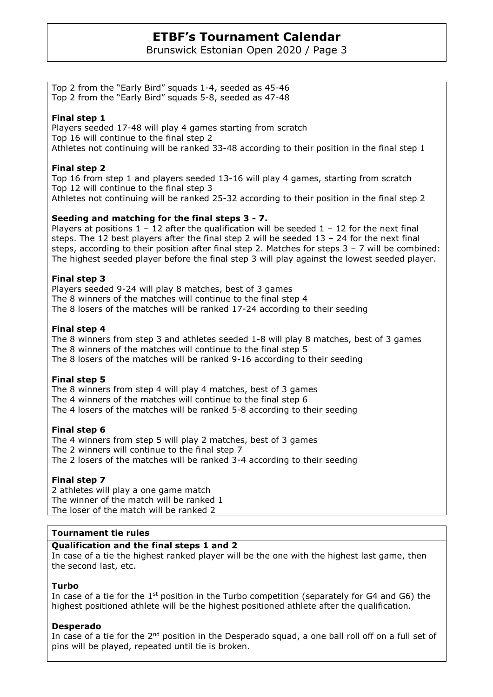Brunswick Estonian Open 2020 / Page 3

Top 2 from the "Early Bird" squads 1-4, seeded as 45-46 Top 2 from the "Early Bird" squads 5-8, seeded as 47-48

#### **Final step 1**

Players seeded 17-48 will play 4 games starting from scratch Top 16 will continue to the final step 2 Athletes not continuing will be ranked 33-48 according to their position in the final step 1

### **Final step 2**

Top 16 from step 1 and players seeded 13-16 will play 4 games, starting from scratch Top 12 will continue to the final step 3 Athletes not continuing will be ranked 25-32 according to their position in the final step 2

#### **Seeding and matching for the final steps 3 - 7.**

Players at positions  $1 - 12$  after the qualification will be seeded  $1 - 12$  for the next final steps. The 12 best players after the final step 2 will be seeded  $13 - 24$  for the next final steps, according to their position after final step 2. Matches for steps 3 – 7 will be combined: The highest seeded player before the final step 3 will play against the lowest seeded player.

#### **Final step 3**

Players seeded 9-24 will play 8 matches, best of 3 games The 8 winners of the matches will continue to the final step 4 The 8 losers of the matches will be ranked 17-24 according to their seeding

#### **Final step 4**

The 8 winners from step 3 and athletes seeded 1-8 will play 8 matches, best of 3 games The 8 winners of the matches will continue to the final step 5 The 8 losers of the matches will be ranked 9-16 according to their seeding

#### **Final step 5**

The 8 winners from step 4 will play 4 matches, best of 3 games The 4 winners of the matches will continue to the final step 6 The 4 losers of the matches will be ranked 5-8 according to their seeding

#### **Final step 6**

The 4 winners from step 5 will play 2 matches, best of 3 games The 2 winners will continue to the final step 7 The 2 losers of the matches will be ranked 3-4 according to their seeding

#### **Final step 7**

2 athletes will play a one game match The winner of the match will be ranked 1 The loser of the match will be ranked 2

#### **Tournament tie rules**

#### **Qualification and the final steps 1 and 2**

In case of a tie the highest ranked player will be the one with the highest last game, then the second last, etc.

#### **Turbo**

In case of a tie for the  $1<sup>st</sup>$  position in the Turbo competition (separately for G4 and G6) the highest positioned athlete will be the highest positioned athlete after the qualification.

#### **Desperado**

In case of a tie for the 2<sup>nd</sup> position in the Desperado squad, a one ball roll off on a full set of pins will be played, repeated until tie is broken.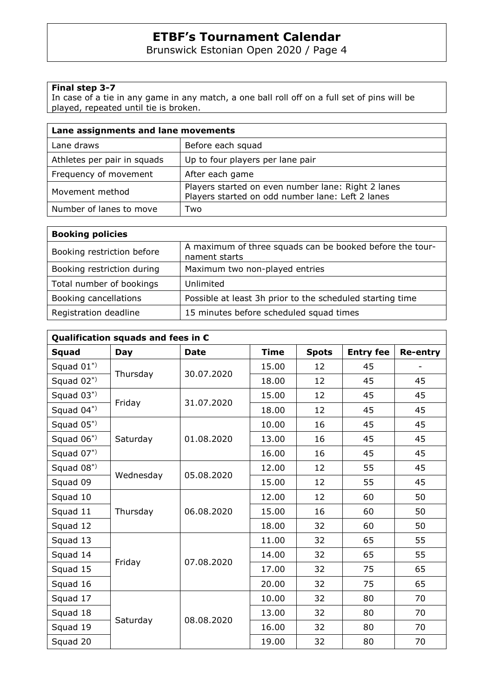Brunswick Estonian Open 2020 / Page 4

### **Final step 3-7**

In case of a tie in any game in any match, a one ball roll off on a full set of pins will be played, repeated until tie is broken.

| Lane assignments and lane movements |                                                                                                        |  |  |
|-------------------------------------|--------------------------------------------------------------------------------------------------------|--|--|
| Lane draws                          | Before each squad                                                                                      |  |  |
| Athletes per pair in squads         | Up to four players per lane pair                                                                       |  |  |
| Frequency of movement               | After each game                                                                                        |  |  |
| Movement method                     | Players started on even number lane: Right 2 lanes<br>Players started on odd number lane: Left 2 lanes |  |  |
| Number of lanes to move             | Two                                                                                                    |  |  |

| <b>Booking policies</b>    |                                                                           |
|----------------------------|---------------------------------------------------------------------------|
| Booking restriction before | A maximum of three squads can be booked before the tour-<br>nament starts |
| Booking restriction during | Maximum two non-played entries                                            |
| Total number of bookings   | Unlimited                                                                 |
| Booking cancellations      | Possible at least 3h prior to the scheduled starting time                 |
| Registration deadline      | 15 minutes before scheduled squad times                                   |

| Qualification squads and fees in $\epsilon$ |            |             |             |              |                  |                 |
|---------------------------------------------|------------|-------------|-------------|--------------|------------------|-----------------|
| <b>Squad</b>                                | <b>Day</b> | <b>Date</b> | <b>Time</b> | <b>Spots</b> | <b>Entry fee</b> | <b>Re-entry</b> |
| Squad $01^*$                                |            |             | 15.00       | 12           | 45               |                 |
| Squad $02^*$                                | Thursday   | 30.07.2020  | 18.00       | 12           | 45               | 45              |
| Squad $03^*$                                |            |             | 15.00       | 12           | 45               | 45              |
| Squad $04^*$                                | Friday     | 31.07.2020  | 18.00       | 12           | 45               | 45              |
| Squad $05^*$                                |            |             | 10.00       | 16           | 45               | 45              |
| Squad $06^*$                                | Saturday   | 01.08.2020  | 13.00       | 16           | 45               | 45              |
| Squad $07^*$                                |            |             | 16.00       | 16           | 45               | 45              |
| Squad $08^*$                                |            | 05.08.2020  | 12.00       | 12           | 55               | 45              |
| Squad 09                                    | Wednesday  |             | 15.00       | 12           | 55               | 45              |
| Squad 10                                    |            |             | 12.00       | 12           | 60               | 50              |
| Squad 11                                    | Thursday   | 06.08.2020  | 15.00       | 16           | 60               | 50              |
| Squad 12                                    |            |             | 18.00       | 32           | 60               | 50              |
| Squad 13                                    |            | 07.08.2020  | 11.00       | 32           | 65               | 55              |
| Squad 14                                    |            |             | 14.00       | 32           | 65               | 55              |
| Squad 15                                    | Friday     |             | 17.00       | 32           | 75               | 65              |
| Squad 16                                    |            |             | 20.00       | 32           | 75               | 65              |
| Squad 17                                    |            | 08.08.2020  | 10.00       | 32           | 80               | 70              |
| Squad 18                                    |            |             | 13.00       | 32           | 80               | 70              |
| Squad 19                                    | Saturday   |             | 16.00       | 32           | 80               | 70              |
| Squad 20                                    |            |             | 19.00       | 32           | 80               | 70              |